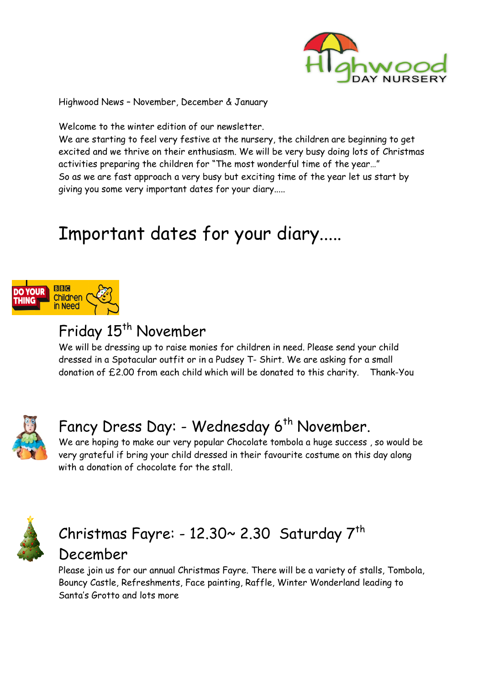

Highwood News – November, December & January

Welcome to the winter edition of our newsletter.

We are starting to feel very festive at the nursery, the children are beginning to get excited and we thrive on their enthusiasm. We will be very busy doing lots of Christmas activities preparing the children for "The most wonderful time of the year…" So as we are fast approach a very busy but exciting time of the year let us start by giving you some very important dates for your diary.....

# Important dates for your diary.....



### Friday 15<sup>th</sup> November

We will be dressing up to raise monies for children in need. Please send your child dressed in a Spotacular outfit or in a Pudsey T- Shirt. We are asking for a small donation of £2.00 from each child which will be donated to this charity. Thank Thank-You e very important dates for your diary.....<br>
ant dates for your diary.....<br>
stime up to raise monies for children in need. Please send your ch<br>
potacular outfit or in a Pudsey T- Shirt. We are asking for a sma



### Fancy Dress Day: - Wednesday 6<sup>th</sup> November.

We are hoping to make our very popular Chocolate tombola a huge success , so would be very grateful if bring your child dressed in their favourite costume on this day along with a donation of chocolate for the stall.



### $\emph{Christmas}$  Fayre: - 12.30~ 2.30  $\emph{Saturday}$   $7^\text{th}$ December

Please join us for our annual Christmas Fayre. There will be a variety of stalls, Tombola, Bouncy Castle, Refreshments, Face painting, Raffle, Winter Wonderland leading to Santa's Grotto and lots more mber<br>
sise monies for children in need. Please send your child<br>
fit or in a Pudsey T- Shirt. We are asking for a small<br>
h child which will be donated to this charity. Thank-You<br>
: - Wednesday 6<sup>th</sup> November.<br>
<br>
.: - Wednes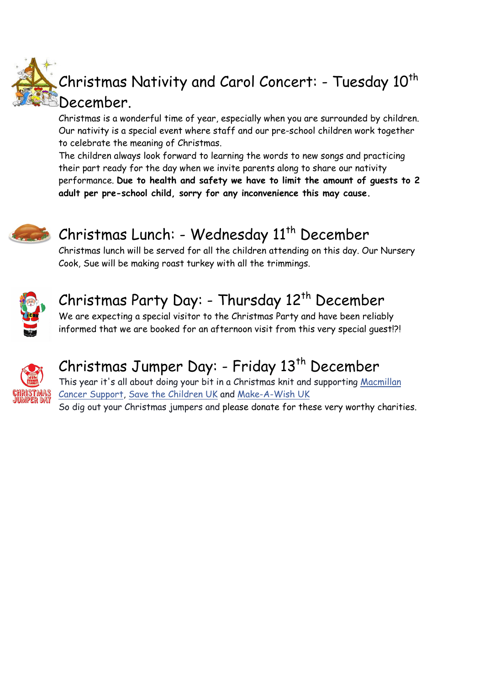

## Christmas Nativity and Carol Concert: - Tuesday  $10^{\sf th}$ December.

Christmas is a wonderful time of year, especially when you are surrounded by children. Our nativity is a special event where staff and our pre-school children work together to celebrate the meaning of Christmas.

The children always look forward to learning the words to new songs and practicing their part ready for the day when we invite parents along to share our nativity performance. Due to health and safety we have to limit the amount of guests to 2 adult per pre-school child, sorry for any inconvenience this may cause.



# Christmas Lunch: - Wednesday 11<sup>th</sup> December

Christmas lunch will be served for all the children attending on this day. Our Nursery Cook, Sue will be making roast turkey with all the trimmings.



### Christmas Party Day: - Thursday 12<sup>th</sup> December

We are expecting a special visitor to the Christmas Party and have been reliably informed that we are booked for an afternoon visit from this very special guest!?!



## Christmas Jumper Day: - Friday 13<sup>th</sup> December

This year it's all about doing your bit in a Christmas knit and supporting Macmillan <u>Cancer Support, Save the Children UK</u> and <u>Make-A-Wish UK</u> So dig out your Christmas jumpers and please donate for these very worthy charities.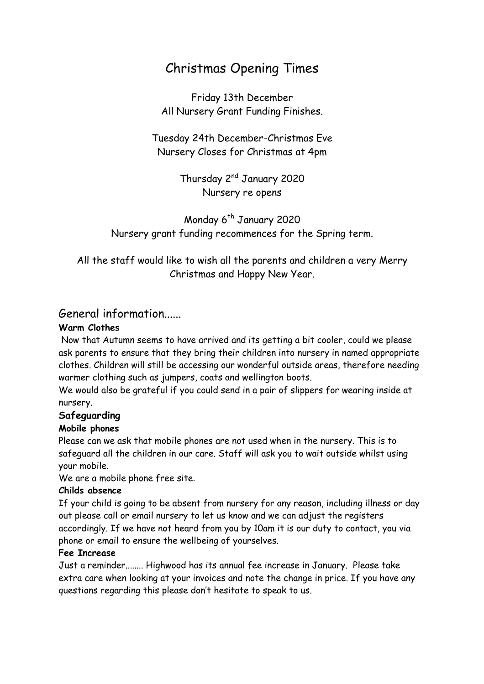### Christmas Opening Times

Friday 13th December All Nursery Grant Funding Finishes.

Tuesday 24th December-Christmas Eve Nursery Closes for Christmas at 4pm

> Thursday 2nd January 2020 Nursery re opens

Monday 6<sup>th</sup> January 2020 Nursery grant funding recommences for the Spring term.

All the staff would like to wish all the parents and children a very Merry Christmas and Happy New Year.

#### General information......

#### Warm Clothes

 Now that Autumn seems to have arrived and its getting a bit cooler, could we please ask parents to ensure that they bring their children into nursery in named appropriate clothes. Children will still be accessing our wonderful outside areas, therefore needing warmer clothing such as jumpers, coats and wellington boots.

We would also be grateful if you could send in a pair of slippers for wearing inside at nursery.

#### Safeguarding

#### Mobile phones

Please can we ask that mobile phones are not used when in the nursery. This is to safeguard all the children in our care. Staff will ask you to wait outside whilst using your mobile.

We are a mobile phone free site.

#### Childs absence

If your child is going to be absent from nursery for any reason, including illness or day out please call or email nursery to let us know and we can adjust the registers accordingly. If we have not heard from you by 10am it is our duty to contact, you via phone or email to ensure the wellbeing of yourselves.

#### Fee Increase

Just a reminder........ Highwood has its annual fee increase in January. Please take extra care when looking at your invoices and note the change in price. If you have any questions regarding this please don't hesitate to speak to us.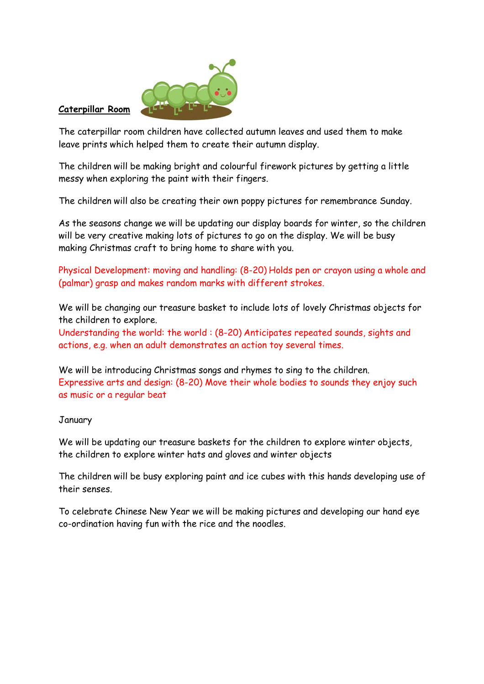

#### Caterpillar Room

The caterpillar room children have collected autumn leaves and used them to make leave prints which helped them to create their autumn display.

The children will be making bright and colourful firework pictures by getting a little messy when exploring the paint with their fingers.

The children will also be creating their own poppy pictures for remembrance Sunday.

As the seasons change we will be updating our display boards for winter, so the children will be very creative making lots of pictures to go on the display. We will be busy making Christmas craft to bring home to share with you.

Physical Development: moving and handling: (8-20) Holds pen or crayon using a whole and (palmar) grasp and makes random marks with different strokes.

We will be changing our treasure basket to include lots of lovely Christmas objects for the children to explore.

Understanding the world: the world : (8-20) Anticipates repeated sounds, sights and actions, e.g. when an adult demonstrates an action toy several times.

We will be introducing Christmas songs and rhymes to sing to the children. Expressive arts and design: (8-20) Move their whole bodies to sounds they enjoy such as music or a regular beat

#### January

We will be updating our treasure baskets for the children to explore winter objects, the children to explore winter hats and gloves and winter objects

The children will be busy exploring paint and ice cubes with this hands developing use of their senses.

To celebrate Chinese New Year we will be making pictures and developing our hand eye co-ordination having fun with the rice and the noodles.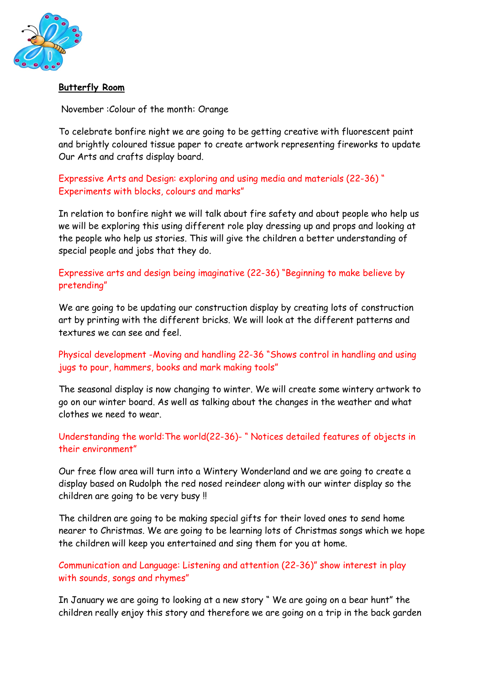

#### Butterfly Room

November :Colour of the month: Orange

To celebrate bonfire night we are going to be getting creative with fluorescent paint and brightly coloured tissue paper to create artwork representing fireworks to update Our Arts and crafts display board.

Expressive Arts and Design: exploring and using media and materials (22-36) " Experiments with blocks, colours and marks"

In relation to bonfire night we will talk about fire safety and about people who help us we will be exploring this using different role play dressing up and props and looking at the people who help us stories. This will give the children a better understanding of special people and jobs that they do.

Expressive arts and design being imaginative (22-36) "Beginning to make believe by pretending"

We are going to be updating our construction display by creating lots of construction art by printing with the different bricks. We will look at the different patterns and textures we can see and feel.

Physical development -Moving and handling 22-36 "Shows control in handling and using jugs to pour, hammers, books and mark making tools"

The seasonal display is now changing to winter. We will create some wintery artwork to go on our winter board. As well as talking about the changes in the weather and what clothes we need to wear.

Understanding the world:The world(22-36)- " Notices detailed features of objects in their environment"

Our free flow area will turn into a Wintery Wonderland and we are going to create a display based on Rudolph the red nosed reindeer along with our winter display so the children are going to be very busy !!

The children are going to be making special gifts for their loved ones to send home nearer to Christmas. We are going to be learning lots of Christmas songs which we hope the children will keep you entertained and sing them for you at home.

Communication and Language: Listening and attention (22-36)" show interest in play with sounds, songs and rhymes"

In January we are going to looking at a new story " We are going on a bear hunt" the children really enjoy this story and therefore we are going on a trip in the back garden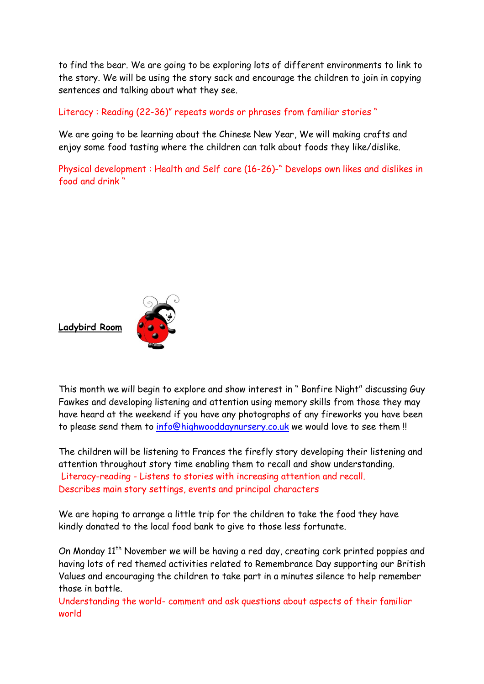to find the bear. We are going to be exploring lots of different environments to link to the story. We will be using the story sack and encourage the children to join in copying sentences and talking about what they see.

Literacy : Reading (22-36)" repeats words or phrases from familiar stories "

We are going to be learning about the Chinese New Year, We will making crafts and enjoy some food tasting where the children can talk about foods they like/dislike.

Physical development : Health and Self care (16-26)-" Develops own likes and dislikes in food and drink "



This month we will begin to explore and show interest in " Bonfire Night" discussing Guy Fawkes and developing listening and attention using memory skills from those they may have heard at the weekend if you have any photographs of any fireworks you have been to please send them to info@highwooddaynursery.co.uk we would love to see them !!

The children will be listening to Frances the firefly story developing their listening and attention throughout story time enabling them to recall and show understanding. Literacy-reading - Listens to stories with increasing attention and recall. Describes main story settings, events and principal characters

We are hoping to arrange a little trip for the children to take the food they have kindly donated to the local food bank to give to those less fortunate.

On Monday 11<sup>th</sup> November we will be having a red day, creating cork printed poppies and having lots of red themed activities related to Remembrance Day supporting our British Values and encouraging the children to take part in a minutes silence to help remember those in battle.

Understanding the world- comment and ask questions about aspects of their familiar world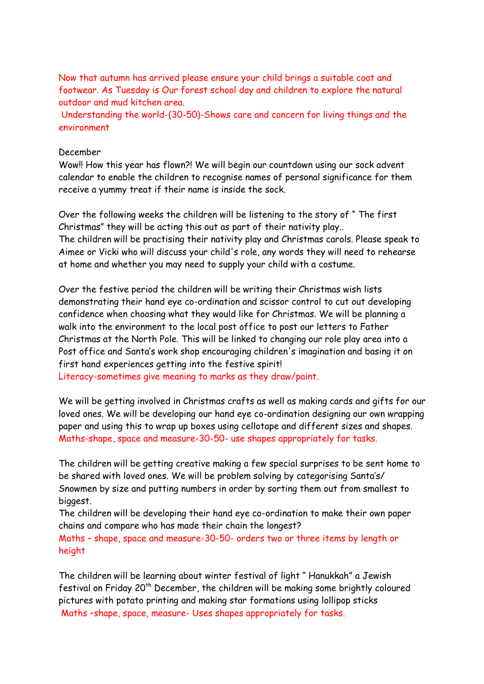Now that autumn has arrived please ensure your child brings a suitable coat and footwear. As Tuesday is Our forest school day and children to explore the natural outdoor and mud kitchen area.

 Understanding the world-(30-50)-Shows care and concern for living things and the environment

#### December

Wow!! How this year has flown?! We will begin our countdown using our sock advent calendar to enable the children to recognise names of personal significance for them receive a yummy treat if their name is inside the sock.

Over the following weeks the children will be listening to the story of " The first Christmas" they will be acting this out as part of their nativity play.. The children will be practising their nativity play and Christmas carols. Please speak to Aimee or Vicki who will discuss your child's role, any words they will need to rehearse at home and whether you may need to supply your child with a costume.

Over the festive period the children will be writing their Christmas wish lists demonstrating their hand eye co-ordination and scissor control to cut out developing confidence when choosing what they would like for Christmas. We will be planning a walk into the environment to the local post office to post our letters to Father Christmas at the North Pole. This will be linked to changing our role play area into a Post office and Santa's work shop encouraging children's imagination and basing it on first hand experiences getting into the festive spirit!

Literacy-sometimes give meaning to marks as they draw/paint.

We will be getting involved in Christmas crafts as well as making cards and gifts for our loved ones. We will be developing our hand eye co-ordination designing our own wrapping paper and using this to wrap up boxes using cellotape and different sizes and shapes. Maths-shape, space and measure-30-50- use shapes appropriately for tasks.

The children will be getting creative making a few special surprises to be sent home to be shared with loved ones. We will be problem solving by categorising Santa's/ Snowmen by size and putting numbers in order by sorting them out from smallest to biggest.

The children will be developing their hand eye co-ordination to make their own paper chains and compare who has made their chain the longest?

Maths – shape, space and measure-30-50- orders two or three items by length or height

The children will be learning about winter festival of light " Hanukkah" a Jewish festival on Friday 20th December, the children will be making some brightly coloured pictures with potato printing and making star formations using lollipop sticks Maths –shape, space, measure- Uses shapes appropriately for tasks.